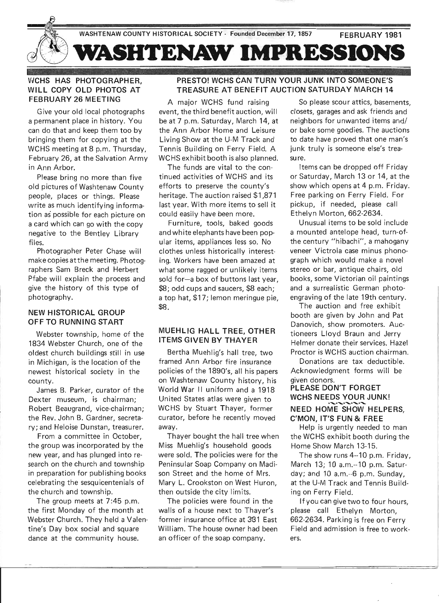

# WCHS HAS PHOTOGRAPHER, WILL COPY OLD PHOTOS AT FEBRUARY 26 MEETING

Give your old local photographs a permanent place in history. You can do that and keep them too by bringing them for copying at the WCHS meeting at 8 p.m. Thursday, February 26, at the Salvation Army in Ann Arbor.

Please bring no more than five old pictures of Washtenaw County people, places or things. Please write as much identifying information as possible for each picture on a card which can go with the copy negative to the Bentley Library files.

Photographer Peter Chase will make copies at the meeting. Photographers Sam Breck and Herbert Pfabe will explain the process and give the history of this type of photography.

#### NEW HISTORICAL GROUP OFF TO RUNNING START

Webster township, home of the 1834 Webster Church, one of the oldest church buildings still in use in Michigan, is the location of the newest historical society in the county.

James B. Parker, curator of the Dexter museum, is chairman; Robert Beaugrand, vice-chairman; the Rev. John B. Gardner, secretary; and Heloise Dunstan, treasurer.

From a committee in October, the group was incorporated by the new year, and has plunged into research on the church and township in preparation for publishing books celebrating the sesquicentenials of the church and township.

The group meets at 7:45 p.m. the first Monday of the month at Webster Church. They held a Valentine's Day box social and square dance at the community house.

# PRESTO! WCHS CAN TURN YOUR JUNK INTO SOMEONE'S TREASURE AT BENEFIT AUCTION SATURDAY MARCH 14

A major WCHS fund raising event, the third benefit auction, will be at 7 p.m. Saturday, March 14, at the Ann Arbor Home and Leisure Living Show at the U-M Track and Tennis Building on Ferry Field. A WCHS exhibit booth is also planned.

The funds are vital to the continued activities of WCHS and its efforts to preserve the county's heritage. The auction raised \$1,871 last year. With more items to sell it could easily have been more.

Furniture, tools, baked goods and white elephants have been popular items, appliances less so. No clothes unless historically interesting. Workers have been amazed at what some ragged or unlikely items sold for-a box of buttons last year, \$8; odd cups and saucers, \$8 each; a top hat, \$17; lemon meringue pie, \$8.

# MUEHLlG HALL TREE, OTHER ITEMS GIVEN BY THAYER

Bertha Muehlig's hall tree, two framed Ann Arbor fire insurance policies of the 1890's, all his papers on Washtenaw County history, his World War II uniform and a 1918 United States atlas were given to WCHS by Stuart Thayer, former curator, before he recently moved away.

Thayer bought the hall tree when Miss Muehlig's household goods were sold. The policies were for the Peninsular Soap Company on Madison Street and the home of Mrs. Mary L. Crookston on West Huron, then outside the city limits.

The policies were found in the walls of a house next to Thayer's former insurance office at 381 East William. The house owner had been an officer of the soap company.

So please scour attics, basements, closets, garages and ask friends and neighbors for unwanted items and/ or bake some goodies. The auctions to date have proved that one man's junk truly is someone else's treasure.

Items can be dropped off Friday or Saturday, March 13 or 14, at the show which opens at 4 p.m. Friday. Free parking on Ferry Field. For pickup, if needed, please call Ethelyn Morton, 662-2634.

Unusual items to be sold include a mounted antelope head, turn-ofthe century "hibachi", a mahogany veneer Victrola case minus phonograph which would make a novel stereo or bar, antique chairs, old books, some Victorian oil paintings and a surrealistic German photoengraving of the late 19th century.

The auction and free exhibit booth are given by John and Pat Danovich, show promoters. Auctioneers Lloyd Braun and Jerry Helmer donate their services. Hazel Proctor is WCHS auction chairman.

Donations are tax deductible. Acknowledgment forms will be given donors.

# PLEASE DON'T FORGET WCHS NEEDS YOUR JUNK! NEED HOME SHOW HELPERS, C'MON, IT'S FUN & FREE

Help is urgently needed to man the WCHS exhibit booth during the Home Show March 13-15.

The show runs 4--10 p.m. Friday, March 13; 10 a.m.--10 p.m. Saturday; and 10 a.m.--6 p.m. Sunday, at the U-M Track and Tennis Building on Ferry Field.

If you can give two to four hours, please call Ethelyn Morton, 662-2634. Parking is free on Ferry Field and admission is free to workers.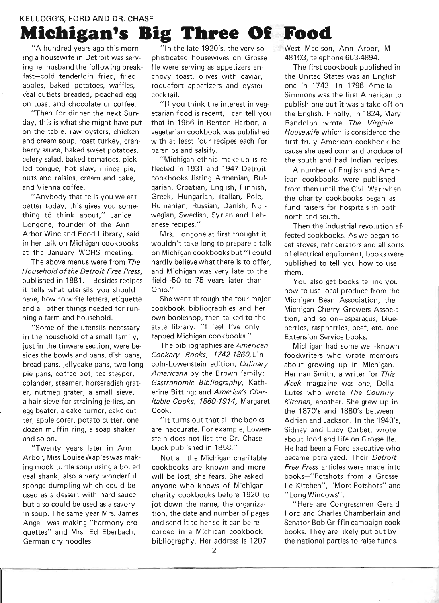# KELLOGG'S, FORD AND DR. CHASE **Michigan's Big Three Of Food**

"A hundred years ago this morning a housewife in Detroit was serving her husband the following breakfast-cold tenderloin fried, fried apples, baked potatoes, waffles, veal cutlets breaded, poached egg on toast and chocolate or coffee.

"Then for dinner the next Sunday, this is what she might have put on the table: raw oysters, chicken and cream soup, roast turkey, cranberry sauce, baked sweet potatoes, celery salad, baked tomatoes, pickled tongue, hot slaw, mince pie, nuts and raisins, cream and cake, and Vienna coffee.

"Anybody that tells you we eat better today, this gives you something t6 think about," Janice Longone, founder of the Ann Arbor Wine and Food Library, said in her talk on Michigan cookbooks at the January WCHS meeting.

The above menus were from The Household of the Detroit Free Press, published in 1881. "Besides recipes it tells what utensils you should have, how to write letters, etiquette and all other things needed for running a farm and household.

"Some of the utensils necessary in the household of a small family, just in the tinware section, were besides the bowls and pans, dish pans, bread pans, jellycake pans, two long pie pans, coffee pot, tea steeper, colander, steamer, horseradish grater, nutmeg grater, a small sieve, a hair sieve for straining jellies, an egg beater, a cake turner, cake cutter, apple corer, potato cutter, one dozen muffin ring, a soap shaker and so on.

"Twenty years later in Ann Arbor, Miss Lou ise Waples was making mock turtle soup using a boiled veal shank, also a very wonderful sponge dumpling which could be used as a dessert with hard sauce but also could be used as a savory in soup. The same year Mrs. James Angell was making "harmony croquettes" and Mrs. Ed Eberbach, German dry noodles.

"In the late 1920's, the very soph isticated housewives on Grosse lie were serving as appetizers anchovy toast, olives with caviar, roquefort appetizers and oyster cocktail.

"If you think the interest in vegetarian food is recent, I can tell you that in 1956 in Benton Harbor, a vegetarian cookbook was published with at least four recipes each for parsnips and salsify.

"Michigan ethnic make-up is reflected in 1931 and 1947 Detroit cookbooks listing Armenian, Bulgarian, Croatian, English, Finnish, Greek, Hungarian, Italian, Pole, Rumanian, Russian, Danish, Norwegian, Swedish, Syrian and Lebanese recipes."

Mrs. Longone at first thought it wouldn't take long to prepare a talk on Michigan cookbooks but "I could hardly believe what there is to offer, and Michigan was very late to the field-50 to 75 years later than Ohio."

She went through the four major cookbook bibliographies and her own bookshop, then talked to the state library. "1 feel I've only tapped Michigan cookbooks."

The bibliographies are American Cookery Books, 1742-1860, Lincoln-Lowenstein edition; Culinary Americana by the Brown family; Gastronomic Bibliography, Katherine Bitting; and America's Charitable Cooks, 1860-1914, Margaret Cook.

"It turns out that all the books are inaccurate. For example, Lowenstein does not list the Dr. Chase book published in 1858."

Not all the Michigan charitable cookbooks are known and more will be lost, she fears. She asked anyone who knows of Michigan charity cookbooks before 1920 to jot down the name, the organization, the date and number of pages and send it to her so it can be recorded in a Michigan cookbook bibliography. Her address is 1207

West Madison, Ann Arbor, MI 48103, telephone 663-4894.

The first cookbook published in the United States was an English one in 1742. In 1796 Amelia Simmons was the first American to publish one but it was a take-off on the English. Finally, in 1824, Mary Randolph wrote The Virginia Housewife which is considered the first truly American cookbook because she used corn and produce of the south and had Indian recipes.

A number of English and American cookbooks were published from then until the Civil War when the charity cookbooks began as fund raisers for hospitals in both north and south.

Then the industrial revolution affected cookbooks. As we began to get stoves, refrigerators and all sorts of electrical equipment, books were published to tell you how to use them.

You also get books telling you how to use local produce from the Michigan Bean Association, the Michigan Cherry Growers Association, and so on-asparagus, blueberries, raspberries, beef, etc. and Extension Service books.

Michigan had some well-known foodwriters who wrote memoirs about growing up in Michigan. Herman Smith, a writer for This Week magazine was one, Della Lutes who wrote The Country Kitchen, another. She grew up in the 1870's and 1880's between Adrian and Jackson. In the 1940's, Sidney and Lucy Corbett wrote about food and life on Grosse lie. He had been a Ford executive who became paralyzed. Their Detroit Free Press articles were made into books-"Potshots from a Grosse lie Kitchen", "More Potshots" and "Long Windows".

"Here are Congressmen Gerald Ford and Charles Chamberlain and Senator Bob Griffin campaign cookbooks. They are likely put out by the national parties to raise funds.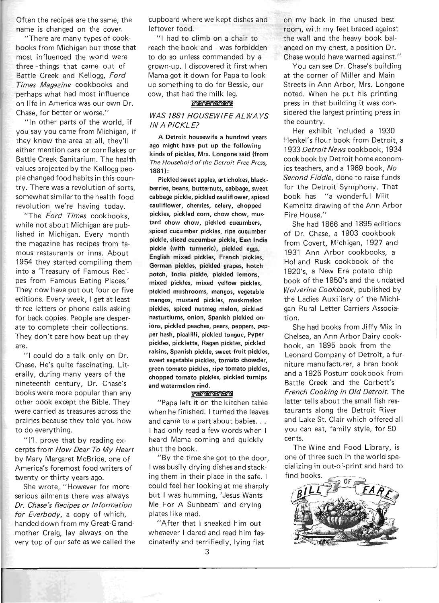Often the recipes are the same, the name is changed on the cover.

"There are many types of cookbooks from Michigan but those that most influenced the world were three-things that came out of Battle Creek and Kellogg, Ford Times Magazine cookbooks and perhaps what had most influence on life in America was our own Dr. Chase, for better or worse."

"In other parts of the world, if you say you came from Michigan, if they know the area at all, they'll either mention cars or cornflakes or Battle Creek Sanitarium. The health values projected by the Kellogg people changed food habits in this country. There was a revolution of sorts, somewhat similar to the health food revolution we're having today.

"The Ford Times cookbooks, while not about Michigan are published in Michigan. Every month the magazine has recipes from famous restaurants or inns. About 1954 they started compiling them into a 'Treasury of Famous Recipes from Famous Eating Places.' They now have put out four or five editions. Every week, I get at least three letters or phone calls asking for back copies. People are desperate to complete their collections. They don't care how beat up they are.

"I could do a talk only on Dr. Chase. He's quite fascinating. Literally, during many years of the nineteenth century, Dr. Chase's books were more popular than any other book except the Bible. They were carried as treasures across the prairies because they told you how to do everything.

''I'll prove that by reading excerpts from How Dear To My Heart by Mary Margaret McBride, one of America's foremost food writers of twenty or thirty years ago.

She wrote, "However for more serious ailments there was always Dr. Chase's Recipes or Information for Everbody, a copy of which, handed down from my Great-Grandmother Craig, lay always on the very top of our safe as we called the cupboard where we kept dishes and leftover food.

"I had to climb on a chair to reach the book and I was forbidden to do so unless commanded by a grown-up. I discovered it first when Mama got it down for Papa to look up something to do for Bessie, our cow, that had the milk leg.

#### **LOTTO TO CHOROLE**

## WAS 1881 HOUSEWIFE ALWA YS IN A PICKLE?

A Detroit housewife a hundred years ago might have put up the following kinds of pickles, Mrs. Longone said (from The Household of the Detroit Free Press, 1881):

Pickled sweet apples, artichokes, blackberries, beans, butternuts, cabbage, sweet cabbage pickle, pickled cauliflower, spiced cauliflower, cherries, celery, chopped pickles, pickled corn, chow chow, mus· tard chow chow, pickled cucumbers, spiced cucumber pickles, ripe cucumber pickle, sliced cucumber pickle, East India pickle (with turmeric), pickled eggs, English mixed pickles, French pickles, German pickles, pickled grapes, hotch potch, India pickle, pickled lemons, mixed pickles, mixed yellow pickles, pickled mushrooms, mangos, vegetable mangos, mustard pickles, muskmelon pickles, spiced nutmeg melon, pickled nasturtiums, onion, Spanish pickled onions, pickled peaches, pears, peppers, pepper hash, pical illi, pickled tongue, Pyper pickles, picklette, Ragan pickles, pickled raisins, Spanish pickle, sweet fruit pickles, sweet vegetable pickles, tomato chowder, green tomato pickles, ripe tomato pickles, chopped tomato pickles, pickled turnips and watermelon rind.

#### *CAROLINARY*

"Papa left it on the kitchen table when he finished. I turned the leaves and came to a part about babies. . . I had only read a few words when I heard Mama coming and quickly shut the book.

"By the time she got to the door, I was busily drying dishes and stacking them in their place in the safe. I could feel her looking at me sharply but I was humming, 'Jesus Wants Me For A Sunbeam' and drying plates like mad.

"After that I sneaked him out whenever I dared and read him fascinatedly and terrifiedly, lying flat

You can see Dr. Chase's building at the corner of Miller and Main Streets in Ann Arbor, Mrs. Longone noted. When he put his printing press in that building it was considered the largest printing press in the country.

Her exhibit included a 1930 Henkel's flour book from Detroit, a 1933 Detroit News cookbook, 1934 cookbook by Detroit home economics teachers, and a 1969 book, No Second Fiddle, done to raise funds for the Detroit Symphony. That book has "a wonderful Milt Kemnitz drawing of the Ann Arbor Fire House."

She had 1866 and 1895 editions of Dr. Chase, a 1903 cookbook from Covert, Michigan, 1927 and 1931 Ann Arbor cookbooks, a Holland Rusk cookbook of the 1920's, a New Era potato chip book of the 1950's and the undated Wolverine Cookbook, published by the Ladies Auxiliary of the Michigan Rural Letter Carriers Association.

She had books from Jiffy Mix in Chelsea, an Ann Arbor Dairy cookbook, an 1895 book from the Leonard Company of Detroit, a furniture manufacturer, a bran book and a 1925 Postum cookbook from Battle Creek and the Corbett's French Cooking in Old Detroit. The latter tells about the small fish restaurants along the Detroit River and Lake St. Clair which offered all you can eat, family style, for 50 cents.

The Wine and Food Library, is one of three such in the world specializing in out-of-print and hard to find books.